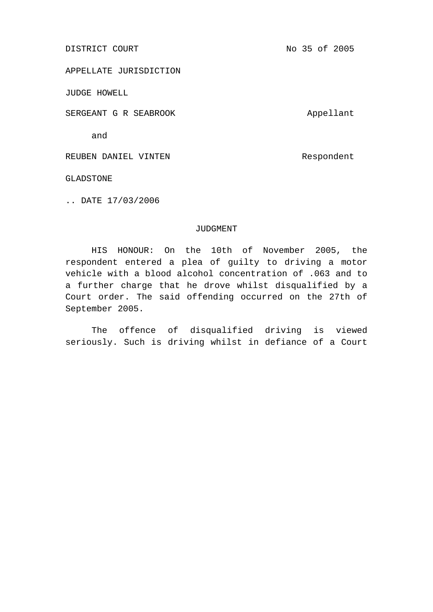DISTRICT COURT No 35 of 2005

APPELLATE JURISDICTION

JUDGE HOWELL

SERGEANT G R SEABROOK Appellant

and

REUBEN DANIEL VINTEN **REUBEN DANIEL** 

GLADSTONE

.. DATE 17/03/2006

## JUDGMENT

HIS HONOUR: On the 10th of November 2005, the respondent entered a plea of guilty to driving a motor vehicle with a blood alcohol concentration of .063 and to a further charge that he drove whilst disqualified by a Court order. The said offending occurred on the 27th of September 2005.

The offence of disqualified driving is viewed seriously. Such is driving whilst in defiance of a Court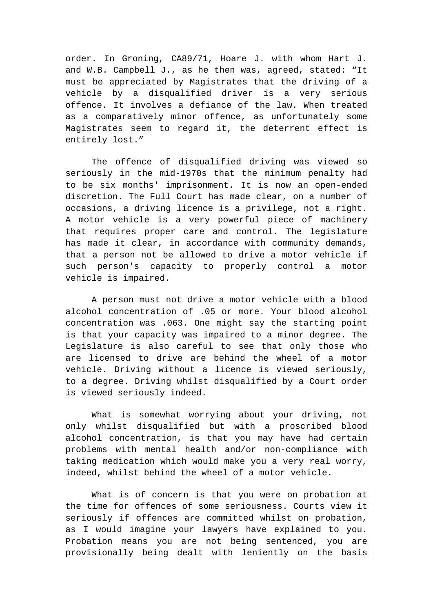order. In Groning, CA89/71, Hoare J. with whom Hart J. and W.B. Campbell J., as he then was, agreed, stated: "It must be appreciated by Magistrates that the driving of a vehicle by a disqualified driver is a very serious offence. It involves a defiance of the law. When treated as a comparatively minor offence, as unfortunately some Magistrates seem to regard it, the deterrent effect is entirely lost."

The offence of disqualified driving was viewed so seriously in the mid-1970s that the minimum penalty had to be six months' imprisonment. It is now an open-ended discretion. The Full Court has made clear, on a number of occasions, a driving licence is a privilege, not a right. A motor vehicle is a very powerful piece of machinery that requires proper care and control. The legislature has made it clear, in accordance with community demands, that a person not be allowed to drive a motor vehicle if such person's capacity to properly control a motor vehicle is impaired.

A person must not drive a motor vehicle with a blood alcohol concentration of .05 or more. Your blood alcohol concentration was .063. One might say the starting point is that your capacity was impaired to a minor degree. The Legislature is also careful to see that only those who are licensed to drive are behind the wheel of a motor vehicle. Driving without a licence is viewed seriously, to a degree. Driving whilst disqualified by a Court order is viewed seriously indeed.

What is somewhat worrying about your driving, not only whilst disqualified but with a proscribed blood alcohol concentration, is that you may have had certain problems with mental health and/or non-compliance with taking medication which would make you a very real worry, indeed, whilst behind the wheel of a motor vehicle.

What is of concern is that you were on probation at the time for offences of some seriousness. Courts view it seriously if offences are committed whilst on probation, as I would imagine your lawyers have explained to you. Probation means you are not being sentenced, you are provisionally being dealt with leniently on the basis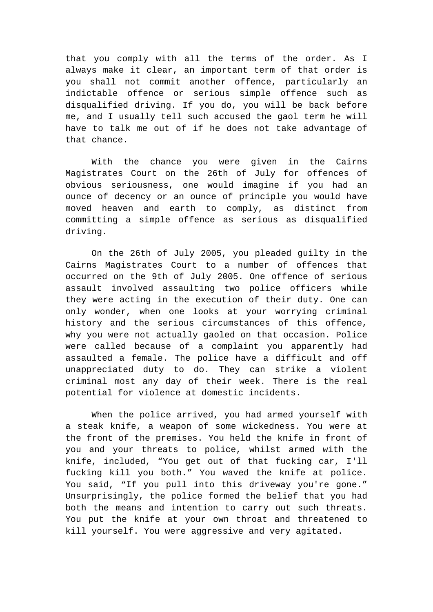that you comply with all the terms of the order. As I always make it clear, an important term of that order is you shall not commit another offence, particularly an indictable offence or serious simple offence such as disqualified driving. If you do, you will be back before me, and I usually tell such accused the gaol term he will have to talk me out of if he does not take advantage of that chance.

With the chance you were given in the Cairns Magistrates Court on the 26th of July for offences of obvious seriousness, one would imagine if you had an ounce of decency or an ounce of principle you would have moved heaven and earth to comply, as distinct from committing a simple offence as serious as disqualified driving.

On the 26th of July 2005, you pleaded guilty in the Cairns Magistrates Court to a number of offences that occurred on the 9th of July 2005. One offence of serious assault involved assaulting two police officers while they were acting in the execution of their duty. One can only wonder, when one looks at your worrying criminal history and the serious circumstances of this offence, why you were not actually gaoled on that occasion. Police were called because of a complaint you apparently had assaulted a female. The police have a difficult and off unappreciated duty to do. They can strike a violent criminal most any day of their week. There is the real potential for violence at domestic incidents.

When the police arrived, you had armed yourself with a steak knife, a weapon of some wickedness. You were at the front of the premises. You held the knife in front of you and your threats to police, whilst armed with the knife, included, "You get out of that fucking car, I'll fucking kill you both." You waved the knife at police. You said, "If you pull into this driveway you're gone." Unsurprisingly, the police formed the belief that you had both the means and intention to carry out such threats. You put the knife at your own throat and threatened to kill yourself. You were aggressive and very agitated.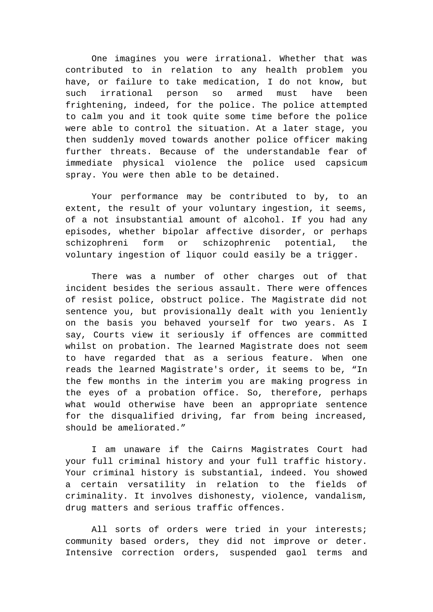One imagines you were irrational. Whether that was contributed to in relation to any health problem you have, or failure to take medication, I do not know, but such irrational person so armed must have been frightening, indeed, for the police. The police attempted to calm you and it took quite some time before the police were able to control the situation. At a later stage, you then suddenly moved towards another police officer making further threats. Because of the understandable fear of immediate physical violence the police used capsicum spray. You were then able to be detained.

Your performance may be contributed to by, to an extent, the result of your voluntary ingestion, it seems, of a not insubstantial amount of alcohol. If you had any episodes, whether bipolar affective disorder, or perhaps schizophreni form or schizophrenic potential, the voluntary ingestion of liquor could easily be a trigger.

There was a number of other charges out of that incident besides the serious assault. There were offences of resist police, obstruct police. The Magistrate did not sentence you, but provisionally dealt with you leniently on the basis you behaved yourself for two years. As I say, Courts view it seriously if offences are committed whilst on probation. The learned Magistrate does not seem to have regarded that as a serious feature. When one reads the learned Magistrate's order, it seems to be, "In the few months in the interim you are making progress in the eyes of a probation office. So, therefore, perhaps what would otherwise have been an appropriate sentence for the disqualified driving, far from being increased, should be ameliorated."

I am unaware if the Cairns Magistrates Court had your full criminal history and your full traffic history. Your criminal history is substantial, indeed. You showed a certain versatility in relation to the fields of criminality. It involves dishonesty, violence, vandalism, drug matters and serious traffic offences.

All sorts of orders were tried in your interests; community based orders, they did not improve or deter. Intensive correction orders, suspended gaol terms and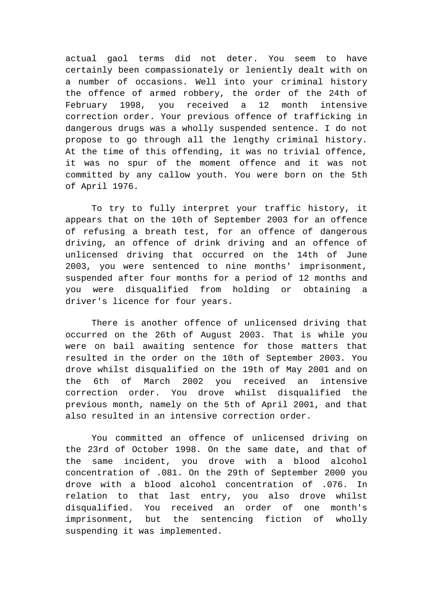actual gaol terms did not deter. You seem to have certainly been compassionately or leniently dealt with on a number of occasions. Well into your criminal history the offence of armed robbery, the order of the 24th of February 1998, you received a 12 month intensive correction order. Your previous offence of trafficking in dangerous drugs was a wholly suspended sentence. I do not propose to go through all the lengthy criminal history. At the time of this offending, it was no trivial offence, it was no spur of the moment offence and it was not committed by any callow youth. You were born on the 5th of April 1976.

To try to fully interpret your traffic history, it appears that on the 10th of September 2003 for an offence of refusing a breath test, for an offence of dangerous driving, an offence of drink driving and an offence of unlicensed driving that occurred on the 14th of June 2003, you were sentenced to nine months' imprisonment, suspended after four months for a period of 12 months and you were disqualified from holding or obtaining a driver's licence for four years.

There is another offence of unlicensed driving that occurred on the 26th of August 2003. That is while you were on bail awaiting sentence for those matters that resulted in the order on the 10th of September 2003. You drove whilst disqualified on the 19th of May 2001 and on the 6th of March 2002 you received an intensive correction order. You drove whilst disqualified the previous month, namely on the 5th of April 2001, and that also resulted in an intensive correction order.

You committed an offence of unlicensed driving on the 23rd of October 1998. On the same date, and that of the same incident, you drove with a blood alcohol concentration of .081. On the 29th of September 2000 you drove with a blood alcohol concentration of .076. In relation to that last entry, you also drove whilst disqualified. You received an order of one month's imprisonment, but the sentencing fiction of wholly suspending it was implemented.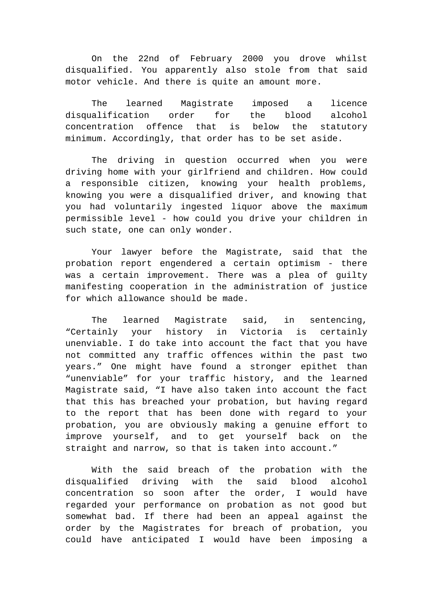On the 22nd of February 2000 you drove whilst disqualified. You apparently also stole from that said motor vehicle. And there is quite an amount more.

The learned Magistrate imposed a licence disqualification order for the blood alcohol concentration offence that is below the statutory minimum. Accordingly, that order has to be set aside.

The driving in question occurred when you were driving home with your girlfriend and children. How could a responsible citizen, knowing your health problems, knowing you were a disqualified driver, and knowing that you had voluntarily ingested liquor above the maximum permissible level - how could you drive your children in such state, one can only wonder.

Your lawyer before the Magistrate, said that the probation report engendered a certain optimism - there was a certain improvement. There was a plea of guilty manifesting cooperation in the administration of justice for which allowance should be made.

The learned Magistrate said, in sentencing, "Certainly your history in Victoria is certainly unenviable. I do take into account the fact that you have not committed any traffic offences within the past two years." One might have found a stronger epithet than "unenviable" for your traffic history, and the learned Magistrate said, "I have also taken into account the fact that this has breached your probation, but having regard to the report that has been done with regard to your probation, you are obviously making a genuine effort to improve yourself, and to get yourself back on the straight and narrow, so that is taken into account."

With the said breach of the probation with the disqualified driving with the said blood alcohol concentration so soon after the order, I would have regarded your performance on probation as not good but somewhat bad. If there had been an appeal against the order by the Magistrates for breach of probation, you could have anticipated I would have been imposing a